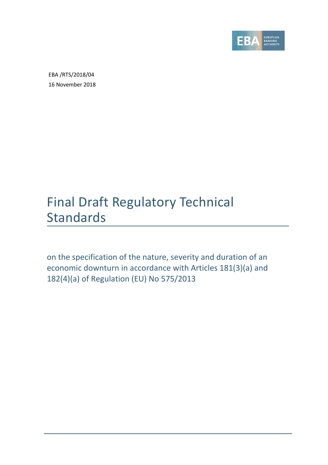

EBA /RTS/2018/04 16 November 2018

# Final Draft Regulatory Technical Standards

on the specification of the nature, severity and duration of an economic downturn in accordance with Articles 181(3)(a) and 182(4)(a) of Regulation (EU) No 575/2013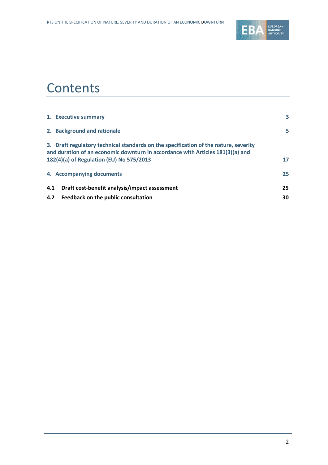

## **Contents**

|     | 1. Executive summary                                                                                                                                                                                               | 3  |
|-----|--------------------------------------------------------------------------------------------------------------------------------------------------------------------------------------------------------------------|----|
|     | 2. Background and rationale                                                                                                                                                                                        | 5  |
|     | 3. Draft regulatory technical standards on the specification of the nature, severity<br>and duration of an economic downturn in accordance with Articles 181(3)(a) and<br>182(4)(a) of Regulation (EU) No 575/2013 | 17 |
|     | 4. Accompanying documents                                                                                                                                                                                          | 25 |
| 4.1 | Draft cost-benefit analysis/impact assessment                                                                                                                                                                      | 25 |
| 4.2 | Feedback on the public consultation                                                                                                                                                                                | 30 |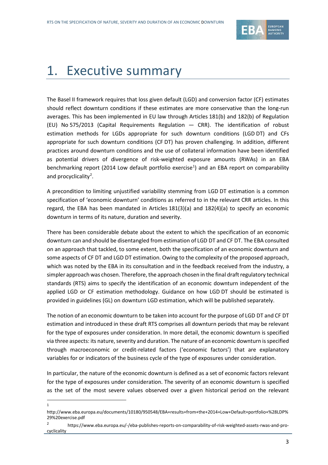

# <span id="page-2-0"></span>1. Executive summary

The Basel II framework requires that loss given default (LGD) and conversion factor (CF) estimates should reflect downturn conditions if these estimates are more conservative than the long-run averages. This has been implemented in EU law through Articles 181(b) and 182(b) of Regulation (EU) No 575/2013 (Capital Requirements Regulation — CRR). The identification of robust estimation methods for LGDs appropriate for such downturn conditions (LGD DT) and CFs appropriate for such downturn conditions (CF DT) has proven challenging. In addition, different practices around downturn conditions and the use of collateral information have been identified as potential drivers of divergence of risk-weighted exposure amounts (RWAs) in an EBA benchmarking report (20[1](#page-2-1)4 Low default portfolio exercise<sup>1</sup>) and an EBA report on comparability and procyclicality<sup>[2](#page-2-2)</sup>.

A precondition to limiting unjustified variability stemming from LGD DT estimation is a common specification of 'economic downturn' conditions as referred to in the relevant CRR articles. In this regard, the EBA has been mandated in Articles 181(3)(a) and 182(4)(a) to specify an economic downturn in terms of its nature, duration and severity.

There has been considerable debate about the extent to which the specification of an economic downturn can and should be disentangled from estimation of LGD DT and CF DT. The EBA consulted on an approach that tackled, to some extent, both the specification of an economic downturn and some aspects of CF DT and LGD DT estimation. Owing to the complexity of the proposed approach, which was noted by the EBA in its consultation and in the feedback received from the industry, a simpler approach was chosen. Therefore, the approach chosen in the final draft regulatory technical standards (RTS) aims to specify the identification of an economic downturn independent of the applied LGD or CF estimation methodology. Guidance on how LGD DT should be estimated is provided in guidelines (GL) on downturn LGD estimation, which will be published separately.

The notion of an economic downturn to be taken into account for the purpose of LGD DT and CF DT estimation and introduced in these draft RTS comprises all downturn periods that may be relevant for the type of exposures under consideration. In more detail, the economic downturn is specified via three aspects: its nature, severity and duration. The nature of an economic downturn is specified through macroeconomic or credit-related factors ('economic factors') that are explanatory variables for or indicators of the business cycle of the type of exposures under consideration.

In particular, the nature of the economic downturn is defined as a set of economic factors relevant for the type of exposures under consideration. The severity of an economic downturn is specified as the set of the most severe values observed over a given historical period on the relevant

 $\overline{a}$ 1

http://www.eba.europa.eu/documents/10180/950548/EBA+results+from+the+2014+Low+Default+portfolio+%28LDP% 29%20exercise.pdf

<span id="page-2-2"></span><span id="page-2-1"></span><sup>2</sup> https://www.eba.europa.eu/-/eba-publishes-reports-on-comparability-of-risk-weighted-assets-rwas-and-procyclicality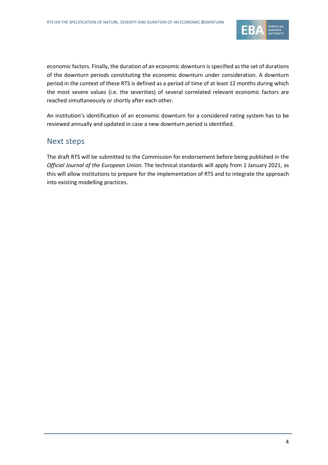

economic factors. Finally, the duration of an economic downturn is specified as the set of durations of the downturn periods constituting the economic downturn under consideration. A downturn period in the context of these RTS is defined as a period of time of at least 12 months during which the most severe values (i.e. the severities) of several correlated relevant economic factors are reached simultaneously or shortly after each other.

An institution's identification of an economic downturn for a considered rating system has to be reviewed annually and updated in case a new downturn period is identified.

## Next steps

The draft RTS will be submitted to the Commission for endorsement before being published in the *Official Journal of the European Union*. The technical standards will apply from 1 January 2021, as this will allow institutions to prepare for the implementation of RTS and to integrate the approach into existing modelling practices.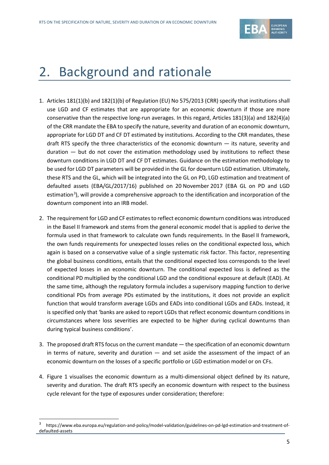

# <span id="page-4-0"></span>2. Background and rationale

- 1. Articles 181(1)(b) and 182(1)(b) of Regulation (EU) No 575/2013 (CRR) specify that institutions shall use LGD and CF estimates that are appropriate for an economic downturn if those are more conservative than the respective long-run averages. In this regard, Articles 181(3)(a) and 182(4)(a) of the CRR mandate the EBA to specify the nature, severity and duration of an economic downturn, appropriate for LGD DT and CF DT estimated by institutions. According to the CRR mandates, these draft RTS specify the three characteristics of the economic downturn — its nature, severity and duration  $-$  but do not cover the estimation methodology used by institutions to reflect these downturn conditions in LGD DT and CF DT estimates. Guidance on the estimation methodology to be used for LGD DT parameters will be provided in the GL for downturn LGD estimation. Ultimately, these RTS and the GL, which will be integrated into the GL on PD, LGD estimation and treatment of defaulted assets (EBA/GL/2017/16) published on 20 November 2017 (EBA GL on PD and LGD estimation<sup>[3](#page-4-1)</sup>), will provide a comprehensive approach to the identification and incorporation of the downturn component into an IRB model.
- 2. The requirement for LGD and CF estimates to reflect economic downturn conditions was introduced in the Basel II framework and stems from the general economic model that is applied to derive the formula used in that framework to calculate own funds requirements. In the Basel II framework, the own funds requirements for unexpected losses relies on the conditional expected loss, which again is based on a conservative value of a single systematic risk factor. This factor, representing the global business conditions, entails that the conditional expected loss corresponds to the level of expected losses in an economic downturn. The conditional expected loss is defined as the conditional PD multiplied by the conditional LGD and the conditional exposure at default (EAD). At the same time, although the regulatory formula includes a supervisory mapping function to derive conditional PDs from average PDs estimated by the institutions, it does not provide an explicit function that would transform average LGDs and EADs into conditional LGDs and EADs. Instead, it is specified only that 'banks are asked to report LGDs that reflect economic downturn conditions in circumstances where loss severities are expected to be higher during cyclical downturns than during typical business conditions'.
- 3. The proposed draft RTS focus on the current mandate the specification of an economic downturn in terms of nature, severity and duration  $-$  and set aside the assessment of the impact of an economic downturn on the losses of a specific portfolio or LGD estimation model or on CFs[.](#page-5-0)
- 4. [Figure 1](#page-5-0) visualises the economic downturn as a multi-dimensional object defined by its nature, severity and duration. The draft RTS specify an economic downturn with respect to the business cycle relevant for the type of exposures under consideration; therefore:

 $\overline{a}$ 

<span id="page-4-1"></span><sup>3</sup> https://www.eba.europa.eu/regulation-and-policy/model-validation/guidelines-on-pd-lgd-estimation-and-treatment-ofdefaulted-assets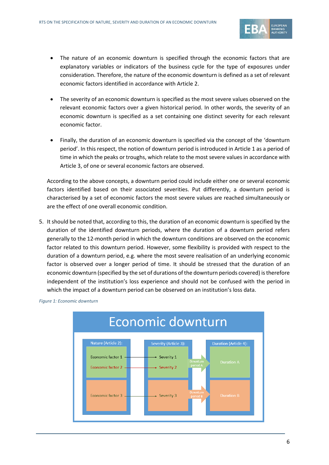

- The nature of an economic downturn is specified through the economic factors that are explanatory variables or indicators of the business cycle for the type of exposures under consideration. Therefore, the nature of the economic downturn is defined as a set of relevant economic factors identified in accordance with Article 2.
- The severity of an economic downturn is specified as the most severe values observed on the relevant economic factors over a given historical period. In other words, the severity of an economic downturn is specified as a set containing one distinct severity for each relevant economic factor.
- Finally, the duration of an economic downturn is specified via the concept of the 'downturn period'. In this respect, the notion of downturn period is introduced in Article 1 as a period of time in which the peaks or troughs, which relate to the most severe values in accordance with Article 3, of one or several economic factors are observed.

According to the above concepts, a downturn period could include either one or several economic factors identified based on their associated severities. Put differently, a downturn period is characterised by a set of economic factors the most severe values are reached simultaneously or are the effect of one overall economic condition.

5. It should be noted that, according to this, the duration of an economic downturn is specified by the duration of the identified downturn periods, where the duration of a downturn period refers generally to the 12-month period in which the downturn conditions are observed on the economic factor related to this downturn period. However, some flexibility is provided with respect to the duration of a downturn period, e.g. where the most severe realisation of an underlying economic factor is observed over a longer period of time. It should be stressed that the duration of an economic downturn (specified by the set of durations of the downturn periods covered) is therefore independent of the institution's loss experience and should not be confused with the period in which the impact of a downturn period can be observed on an institution's loss data.



<span id="page-5-0"></span>*Figure 1: Economic downturn*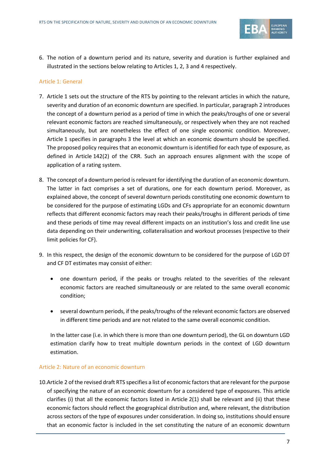

6. The notion of a downturn period and its nature, severity and duration is further explained and illustrated in the sections below relating to Articles 1, 2, 3 and 4 respectively.

#### Article 1: General

- 7. Article 1 sets out the structure of the RTS by pointing to the relevant articles in which the nature, severity and duration of an economic downturn are specified. In particular, paragraph 2 introduces the concept of a downturn period as a period of time in which the peaks/troughs of one or several relevant economic factors are reached simultaneously, or respectively when they are not reached simultaneously, but are nonetheless the effect of one single economic condition. Moreover, Article 1 specifies in paragraphs 3 the level at which an economic downturn should be specified. The proposed policy requires that an economic downturn is identified for each type of exposure, as defined in Article 142(2) of the CRR. Such an approach ensures alignment with the scope of application of a rating system.
- 8. The concept of a downturn period is relevant for identifying the duration of an economic downturn. The latter in fact comprises a set of durations, one for each downturn period. Moreover, as explained above, the concept of several downturn periods constituting one economic downturn to be considered for the purpose of estimating LGDs and CFs appropriate for an economic downturn reflects that different economic factors may reach their peaks/troughs in different periods of time and these periods of time may reveal different impacts on an institution's loss and credit line use data depending on their underwriting, collateralisation and workout processes (respective to their limit policies for CF).
- 9. In this respect, the design of the economic downturn to be considered for the purpose of LGD DT and CF DT estimates may consist of either:
	- one downturn period, if the peaks or troughs related to the severities of the relevant economic factors are reached simultaneously or are related to the same overall economic condition;
	- several downturn periods, if the peaks/troughs of the relevant economic factors are observed in different time periods and are not related to the same overall economic condition.

In the latter case (i.e. in which there is more than one downturn period), the GL on downturn LGD estimation clarify how to treat multiple downturn periods in the context of LGD downturn estimation.

#### Article 2: Nature of an economic downturn

10.Article 2 of the revised draft RTS specifies a list of economic factors that are relevant for the purpose of specifying the nature of an economic downturn for a considered type of exposures. This article clarifies (i) that all the economic factors listed in Article 2(1) shall be relevant and (ii) that these economic factors should reflect the geographical distribution and, where relevant, the distribution across sectors of the type of exposures under consideration. In doing so, institutions should ensure that an economic factor is included in the set constituting the nature of an economic downturn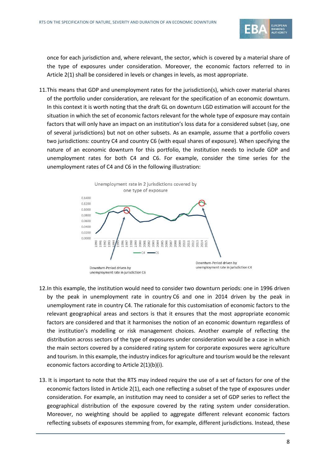

once for each jurisdiction and, where relevant, the sector, which is covered by a material share of the type of exposures under consideration. Moreover, the economic factors referred to in Article 2(1) shall be considered in levels or changes in levels, as most appropriate.

11.This means that GDP and unemployment rates for the jurisdiction(s), which cover material shares of the portfolio under consideration, are relevant for the specification of an economic downturn. In this context it is worth noting that the draft GL on downturn LGD estimation will account for the situation in which the set of economic factors relevant for the whole type of exposure may contain factors that will only have an impact on an institution's loss data for a considered subset (say, one of several jurisdictions) but not on other subsets. As an example, assume that a portfolio covers two jurisdictions: country C4 and country C6 (with equal shares of exposure). When specifying the nature of an economic downturn for this portfolio, the institution needs to include GDP and unemployment rates for both C4 and C6. For example, consider the time series for the unemployment rates of C4 and C6 in the following illustration:



- 12.In this example, the institution would need to consider two downturn periods: one in 1996 driven by the peak in unemployment rate in country C6 and one in 2014 driven by the peak in unemployment rate in country C4. The rationale for this customisation of economic factors to the relevant geographical areas and sectors is that it ensures that the most appropriate economic factors are considered and that it harmonises the notion of an economic downturn regardless of the institution's modelling or risk management choices. Another example of reflecting the distribution across sectors of the type of exposures under consideration would be a case in which the main sectors covered by a considered rating system for corporate exposures were agriculture and tourism. In this example, the industry indices for agriculture and tourism would be the relevant economic factors according to Article 2(1)(b)(i).
- 13. It is important to note that the RTS may indeed require the use of a set of factors for one of the economic factors listed in Article 2(1), each one reflecting a subset of the type of exposures under consideration. For example, an institution may need to consider a set of GDP series to reflect the geographical distribution of the exposure covered by the rating system under consideration. Moreover, no weighting should be applied to aggregate different relevant economic factors reflecting subsets of exposures stemming from, for example, different jurisdictions. Instead, these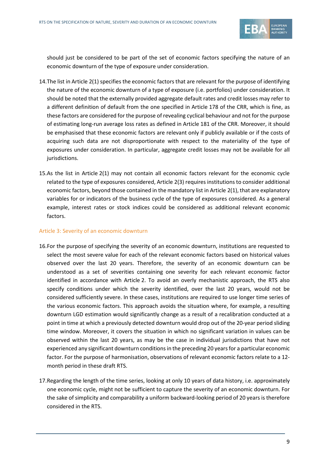

should just be considered to be part of the set of economic factors specifying the nature of an economic downturn of the type of exposure under consideration.

- 14.The list in Article 2(1) specifies the economic factors that are relevant for the purpose of identifying the nature of the economic downturn of a type of exposure (i.e. portfolios) under consideration. It should be noted that the externally provided aggregate default rates and credit losses may refer to a different definition of default from the one specified in Article 178 of the CRR, which is fine, as these factors are considered for the purpose of revealing cyclical behaviour and not for the purpose of estimating long-run average loss rates as defined in Article 181 of the CRR. Moreover, it should be emphasised that these economic factors are relevant only if publicly available or if the costs of acquiring such data are not disproportionate with respect to the materiality of the type of exposures under consideration. In particular, aggregate credit losses may not be available for all jurisdictions.
- 15.As the list in Article 2(1) may not contain all economic factors relevant for the economic cycle related to the type of exposures considered, Article 2(3) requires institutions to consider additional economic factors, beyond those contained in the mandatory list in Article 2(1), that are explanatory variables for or indicators of the business cycle of the type of exposures considered. As a general example, interest rates or stock indices could be considered as additional relevant economic factors.

#### Article 3: Severity of an economic downturn

- 16.For the purpose of specifying the severity of an economic downturn, institutions are requested to select the most severe value for each of the relevant economic factors based on historical values observed over the last 20 years. Therefore, the severity of an economic downturn can be understood as a set of severities containing one severity for each relevant economic factor identified in accordance with Article 2. To avoid an overly mechanistic approach, the RTS also specify conditions under which the severity identified, over the last 20 years, would not be considered sufficiently severe. In these cases, institutions are required to use longer time series of the various economic factors. This approach avoids the situation where, for example, a resulting downturn LGD estimation would significantly change as a result of a recalibration conducted at a point in time at which a previously detected downturn would drop out of the 20-year period sliding time window. Moreover, it covers the situation in which no significant variation in values can be observed within the last 20 years, as may be the case in individual jurisdictions that have not experienced any significant downturn conditionsin the preceding 20 years for a particular economic factor. For the purpose of harmonisation, observations of relevant economic factors relate to a 12 month period in these draft RTS.
- 17.Regarding the length of the time series, looking at only 10 years of data history, i.e. approximately one economic cycle, might not be sufficient to capture the severity of an economic downturn. For the sake of simplicity and comparability a uniform backward-looking period of 20 years is therefore considered in the RTS.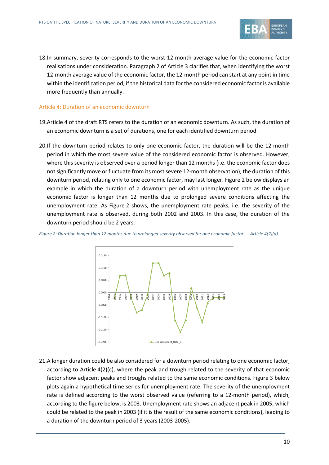

18.In summary, severity corresponds to the worst 12-month average value for the economic factor realisations under consideration. Paragraph 2 of Article 3 clarifies that, when identifying the worst 12-month average value of the economic factor, the 12-month period can start at any point in time within the identification period, if the historical data for the considered economic factor is available more frequently than annually.

#### Article 4: Duration of an economic downturn

- 19.Article 4 of the draft RTS refers to the duration of an economic downturn. As such, the duration of an economic downturn is a set of durations, one for each identified downturn period.
- 20.If the downturn period relates to only one economic factor, the duration will be the 12-month period in which the most severe value of the considered economic factor is observed. However, where this severity is observed over a period longer than 12 months (i.e. the economic factor does not significantly move or fluctuate from its most severe 12-month observation), the duration of this downturn period, relating only to one economic factor, may last longer. Figure 2 below displays an example in which the duration of a downturn period with unemployment rate as the unique economic factor is longer than 12 months due to prolonged severe conditions affecting the unemployment rate. As Figure 2 shows, the unemployment rate peaks, i.e. the severity of the unemployment rate is observed, during both 2002 and 2003. In this case, the duration of the downturn period should be 2 years.



*Figure 2: Duration longer than 12 months due to prolonged severity observed for one economic factor — Article 4(2)(a)*

21.A longer duration could be also considered for a downturn period relating to one economic factor, according to Article 4(2)(c), where the peak and trough related to the severity of that economic factor show adjacent peaks and troughs related to the same economic conditions. Figure 3 below plots again a hypothetical time series for unemployment rate. The severity of the unemployment rate is defined according to the worst observed value (referring to a 12-month period), which, according to the figure below, is 2003. Unemployment rate shows an adjacent peak in 2005, which could be related to the peak in 2003 (if it is the result of the same economic conditions), leading to a duration of the downturn period of 3 years (2003-2005).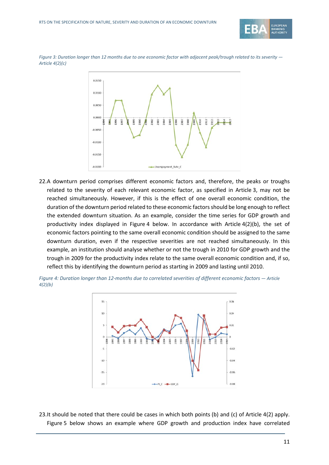

*Figure 3: Duration longer than 12 months due to one economic factor with adjacent peak/trough related to its severity*  $-$ *Article 4(2)(c)*



22.A downturn period comprises different economic factors and, therefore, the peaks or troughs related to the severity of each relevant economic factor, as specified in Article 3, may not be reached simultaneously. However, if this is the effect of one overall economic condition, the duration of the downturn period related to these economic factors should be long enough to reflect the extended downturn situation. As an example, consider the time series for GDP growth and productivity index displayed in Figure 4 below. In accordance with Article 4(2)(b), the set of economic factors pointing to the same overall economic condition should be assigned to the same downturn duration, even if the respective severities are not reached simultaneously. In this example, an institution should analyse whether or not the trough in 2010 for GDP growth and the trough in 2009 for the productivity index relate to the same overall economic condition and, if so, reflect this by identifying the downturn period as starting in 2009 and lasting until 2010.



*Figure 4: Duration longer than 12-months due to correlated severities of different economic factors — Article 4(2)(b)*

23.It should be noted that there could be cases in which both points (b) and (c) of Article 4(2) apply. Figure 5 below shows an example where GDP growth and production index have correlated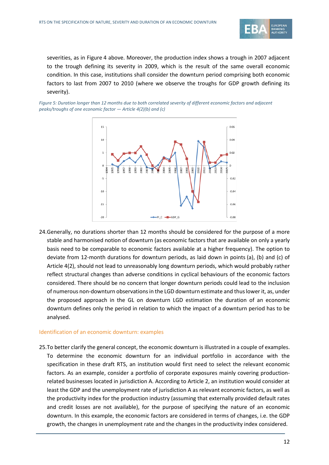

severities, as in Figure 4 above. Moreover, the production index shows a trough in 2007 adjacent to the trough defining its severity in 2009, which is the result of the same overall economic condition. In this case, institutions shall consider the downturn period comprising both economic factors to last from 2007 to 2010 (where we observe the troughs for GDP growth defining its severity).

*Figure 5: Duration longer than 12 months due to both correlated severity of different economic factors and adjacent peaks/troughs of one economic factor — Article 4(2)(b) and (c)*



24.Generally, no durations shorter than 12 months should be considered for the purpose of a more stable and harmonised notion of downturn (as economic factors that are available on only a yearly basis need to be comparable to economic factors available at a higher frequency). The option to deviate from 12-month durations for downturn periods, as laid down in points (a), (b) and (c) of Article 4(2), should not lead to unreasonably long downturn periods, which would probably rather reflect structural changes than adverse conditions in cyclical behaviours of the economic factors considered. There should be no concern that longer downturn periods could lead to the inclusion of numerous non-downturn observations in the LGD downturn estimate and thus lower it, as, under the proposed approach in the GL on downturn LGD estimation the duration of an economic downturn defines only the period in relation to which the impact of a downturn period has to be analysed.

#### Identification of an economic downturn: examples

25.To better clarify the general concept, the economic downturn is illustrated in a couple of examples. To determine the economic downturn for an individual portfolio in accordance with the specification in these draft RTS, an institution would first need to select the relevant economic factors. As an example, consider a portfolio of corporate exposures mainly covering productionrelated businesses located in jurisdiction A. According to Article 2, an institution would consider at least the GDP and the unemployment rate of jurisdiction A as relevant economic factors, as well as the productivity index for the production industry (assuming that externally provided default rates and credit losses are not available), for the purpose of specifying the nature of an economic downturn. In this example, the economic factors are considered in terms of changes, i.e. the GDP growth, the changes in unemployment rate and the changes in the productivity index considered.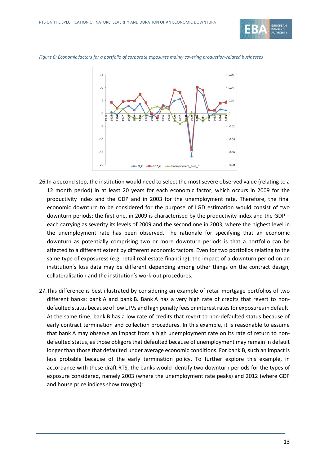





- 26.In a second step, the institution would need to select the most severe observed value (relating to a 12 month period) in at least 20 years for each economic factor, which occurs in 2009 for the productivity index and the GDP and in 2003 for the unemployment rate. Therefore, the final economic downturn to be considered for the purpose of LGD estimation would consist of two downturn periods: the first one, in 2009 is characterised by the productivity index and the GDP – each carrying as severity its levels of 2009 and the second one in 2003, where the highest level in the unemployment rate has been observed. The rationale for specifying that an economic downturn as potentially comprising two or more downturn periods is that a portfolio can be affected to a different extent by different economic factors. Even for two portfolios relating to the same type of exposuress (e.g. retail real estate financing), the impact of a downturn period on an institution's loss data may be different depending among other things on the contract design, collateralisation and the institution's work-out procedures.
- 27.This difference is best illustrated by considering an example of retail mortgage portfolios of two different banks: bank A and bank B. Bank A has a very high rate of credits that revert to nondefaulted status because of low LTVs and high penalty fees or interest rates for exposures in default. At the same time, bank B has a low rate of credits that revert to non-defaulted status because of early contract termination and collection procedures. In this example, it is reasonable to assume that bank A may observe an impact from a high unemployment rate on its rate of return to nondefaulted status, as those obligors that defaulted because of unemployment may remain in default longer than those that defaulted under average economic conditions. For bank B, such an impact is less probable because of the early termination policy. To further explore this example, in accordance with these draft RTS, the banks would identify two downturn periods for the types of exposure considered, namely 2003 (where the unemployment rate peaks) and 2012 (where GDP and house price indices show troughs):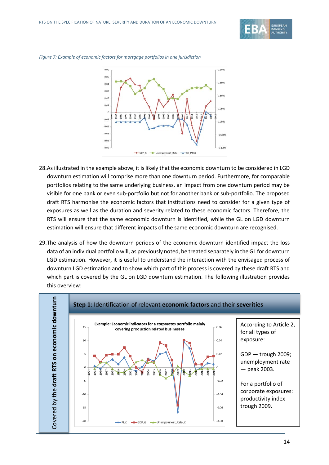



*Figure 7: Example of economic factors for mortgage portfolios in one jurisdiction*

- 28.As illustrated in the example above, it is likely that the economic downturn to be considered in LGD downturn estimation will comprise more than one downturn period. Furthermore, for comparable portfolios relating to the same underlying business, an impact from one downturn period may be visible for one bank or even sub-portfolio but not for another bank or sub-portfolio. The proposed draft RTS harmonise the economic factors that institutions need to consider for a given type of exposures as well as the duration and severity related to these economic factors. Therefore, the RTS will ensure that the same economic downturn is identified, while the GL on LGD downturn estimation will ensure that different impacts of the same economic downturn are recognised.
- 29.The analysis of how the downturn periods of the economic downturn identified impact the loss data of an individual portfolio will, as previously noted, be treated separately in the GL for downturn LGD estimation. However, it is useful to understand the interaction with the envisaged process of downturn LGD estimation and to show which part of this process is covered by these draft RTS and which part is covered by the GL on LGD downturn estimation. The following illustration provides this overview:

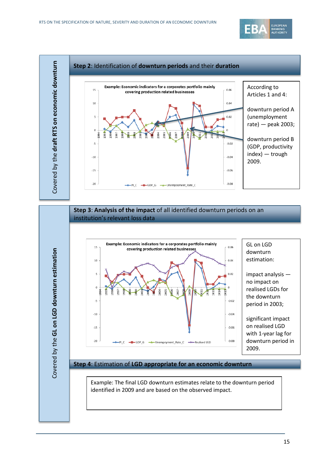



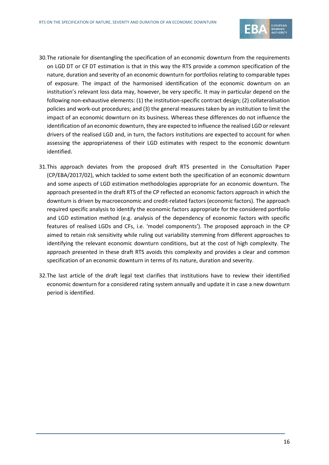

- 30.The rationale for disentangling the specification of an economic downturn from the requirements on LGD DT or CF DT estimation is that in this way the RTS provide a common specification of the nature, duration and severity of an economic downturn for portfolios relating to comparable types of exposure. The impact of the harmonised identification of the economic downturn on an institution's relevant loss data may, however, be very specific. It may in particular depend on the following non-exhaustive elements: (1) the institution-specific contract design; (2) collateralisation policies and work-out procedures; and (3) the general measures taken by an institution to limit the impact of an economic downturn on its business. Whereas these differences do not influence the identification of an economic downturn, they are expected to influence the realised LGD or relevant drivers of the realised LGD and, in turn, the factors institutions are expected to account for when assessing the appropriateness of their LGD estimates with respect to the economic downturn identified.
- 31.This approach deviates from the proposed draft RTS presented in the Consultation Paper (CP/EBA/2017/02), which tackled to some extent both the specification of an economic downturn and some aspects of LGD estimation methodologies appropriate for an economic downturn. The approach presented in the draft RTS of the CP reflected an economic factors approach in which the downturn is driven by macroeconomic and credit-related factors (economic factors). The approach required specific analysis to identify the economic factors appropriate for the considered portfolio and LGD estimation method (e.g. analysis of the dependency of economic factors with specific features of realised LGDs and CFs, i.e. 'model components'). The proposed approach in the CP aimed to retain risk sensitivity while ruling out variability stemming from different approaches to identifying the relevant economic downturn conditions, but at the cost of high complexity. The approach presented in these draft RTS avoids this complexity and provides a clear and common specification of an economic downturn in terms of its nature, duration and severity.
- 32.The last article of the draft legal text clarifies that institutions have to review their identified economic downturn for a considered rating system annually and update it in case a new downturn period is identified.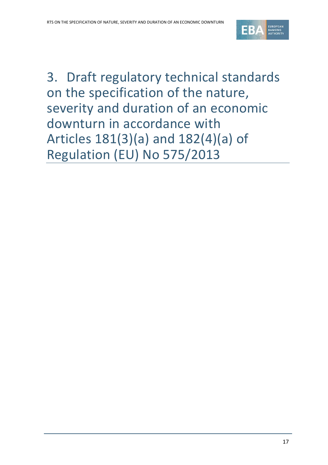

<span id="page-16-0"></span>3. Draft regulatory technical standards on the specification of the nature, severity and duration of an economic downturn in accordance with Articles 181(3)(a) and 182(4)(a) of Regulation (EU) No 575/2013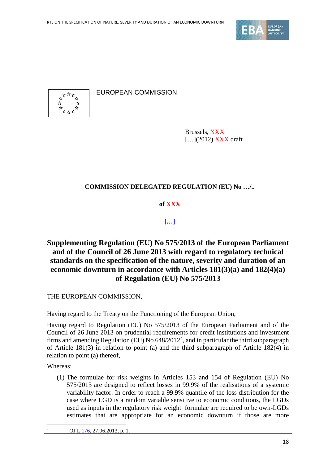



EUROPEAN COMMISSION

Brussels, XXX [...](2012) **XXX** draft

## **COMMISSION DELEGATED REGULATION (EU) No …/..**

## **of XXX**

## **[…]**

**Supplementing Regulation (EU) No 575/2013 of the European Parliament and of the Council of 26 June 2013 with regard to regulatory technical standards on the specification of the nature, severity and duration of an economic downturn in accordance with Articles 181(3)(a) and 182(4)(a) of Regulation (EU) No 575/2013**

THE EUROPEAN COMMISSION,

Having regard to the Treaty on the Functioning of the European Union,

Having regard to Regulation (EU) No 575/2013 of the European Parliament and of the Council of 26 June 2013 on prudential requirements for credit institutions and investment firms and amending Regulation (EU) No  $648/2012^4$  $648/2012^4$  $648/2012^4$ , and in particular the third subparagraph of Article 181(3) in relation to point (a) and the third subparagraph of Article 182(4) in relation to point (a) thereof,

Whereas:

<span id="page-17-0"></span> $\overline{a}$ 

(1) The formulae for risk weights in Articles 153 and 154 of Regulation (EU) No 575/2013 are designed to reflect losses in 99.9% of the realisations of a systemic variability factor. In order to reach a 99.9% quantile of the loss distribution for the case where LGD is a random variable sensitive to economic conditions, the LGDs used as inputs in the regulatory risk weight formulae are required to be own-LGDs estimates that are appropriate for an economic downturn if those are more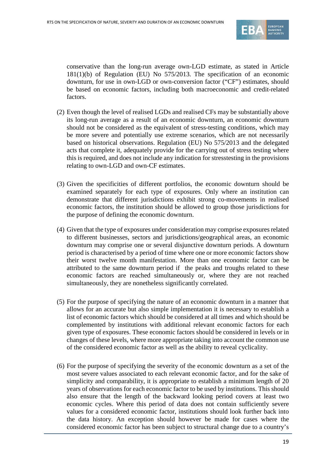

conservative than the long-run average own-LGD estimate, as stated in Article 181(1)(b) of Regulation (EU) No 575/2013. The specification of an economic downturn, for use in own-LGD or own-conversion factor ("CF") estimates, should be based on economic factors, including both macroeconomic and credit-related factors.

- (2) Even though the level of realised LGDs and realised CFs may be substantially above its long-run average as a result of an economic downturn, an economic downturn should not be considered as the equivalent of stress-testing conditions, which may be more severe and potentially use extreme scenarios, which are not necessarily based on historical observations. Regulation (EU) No 575/2013 and the delegated acts that complete it, adequately provide for the carrying out of stress testing where this is required, and does not include any indication for stresstesting in the provisions relating to own-LGD and own-CF estimates.
- (3) Given the specificities of different portfolios, the economic downturn should be examined separately for each type of exposures. Only where an institution can demonstrate that different jurisdictions exhibit strong co-movements in realised economic factors, the institution should be allowed to group those jurisdictions for the purpose of defining the economic downturn.
- (4) Given that the type of exposures under consideration may comprise exposures related to different businesses, sectors and jurisdictions/geographical areas, an economic downturn may comprise one or several disjunctive downturn periods. A downturn period is characterised by a period of time where one or more economic factors show their worst twelve month manifestation. More than one economic factor can be attributed to the same downturn period if the peaks and troughs related to these economic factors are reached simultaneously or, where they are not reached simultaneously, they are nonetheless significantly correlated.
- (5) For the purpose of specifying the nature of an economic downturn in a manner that allows for an accurate but also simple implementation it is necessary to establish a list of economic factors which should be considered at all times and which should be complemented by institutions with additional relevant economic factors for each given type of exposures. These economic factors should be considered in levels or in changes of these levels, where more appropriate taking into account the common use of the considered economic factor as well as the ability to reveal cyclicality.
- (6) For the purpose of specifying the severity of the economic downturn as a set of the most severe values associated to each relevant economic factor, and for the sake of simplicity and comparability, it is appropriate to establish a minimum length of 20 years of observations for each economic factor to be used by institutions. This should also ensure that the length of the backward looking period covers at least two economic cycles. Where this period of data does not contain sufficiently severe values for a considered economic factor, institutions should look further back into the data history. An exception should however be made for cases where the considered economic factor has been subject to structural change due to a country's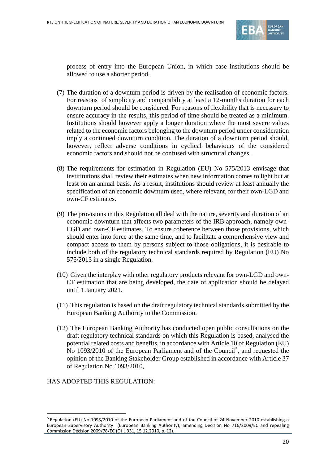

process of entry into the European Union, in which case institutions should be allowed to use a shorter period.

- (7) The duration of a downturn period is driven by the realisation of economic factors. For reasons of simplicity and comparability at least a 12-months duration for each downturn period should be considered. For reasons of flexibility that is necessary to ensure accuracy in the results, this period of time should be treated as a minimum. Institutions should however apply a longer duration where the most severe values related to the economic factors belonging to the downturn period under consideration imply a continued downturn condition. The duration of a downturn period should, however, reflect adverse conditions in cyclical behaviours of the considered economic factors and should not be confused with structural changes.
- (8) The requirements for estimation in Regulation (EU) No 575/2013 envisage that instititutions shall review their estimates when new information comes to light but at least on an annual basis. As a result, institutions should review at least annually the specification of an economic downturn used, where relevant, for their own-LGD and own-CF estimates.
- (9) The provisions in this Regulation all deal with the nature, severity and duration of an economic downturn that affects two parameters of the IRB approach, namely own-LGD and own-CF estimates. To ensure coherence between those provisions, which should enter into force at the same time, and to facilitate a comprehensive view and compact access to them by persons subject to those obligations, it is desirable to include both of the regulatory technical standards required by Regulation (EU) No 575/2013 in a single Regulation.
- (10) Given the interplay with other regulatory products relevant for own-LGD and own-CF estimation that are being developed, the date of application should be delayed until 1 January 2021.
- (11) This regulation is based on the draft regulatory technical standards submitted by the European Banking Authority to the Commission.
- (12) The European Banking Authority has conducted open public consultations on the draft regulatory technical standards on which this Regulation is based, analysed the potential related costs and benefits, in accordance with Article 10 of Regulation (EU) No 1093/2010 of the European Parliament and of the Council<sup>[5](#page-19-0)</sup>, and requested the opinion of the Banking Stakeholder Group established in accordance with Article 37 of Regulation No 1093/2010,

## HAS ADOPTED THIS REGULATION:

 $\overline{a}$ 

<span id="page-19-0"></span><sup>5</sup> Regulation (EU) No 1093/2010 of the European Parliament and of the Council of 24 November 2010 establishing a European Supervisory Authority (European Banking Authority), amending Decision No 716/2009/EC and repealing Commission Decision 2009/78/EC (OJ L 331, 15.12.2010, p. 12).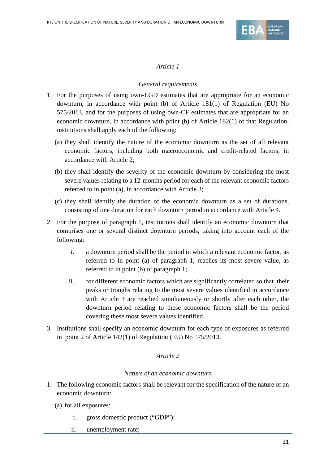

## *General requirements*

- 1. For the purposes of using own-LGD estimates that are appropriate for an economic downturn, in accordance with point (b) of Article 181(1) of Regulation (EU) No 575/2013, and for the purposes of using own-CF estimates that are appropriate for an economic downturn, in accordance with point (b) of Article 182(1) of that Regulation, institutions shall apply each of the following:
	- (a) they shall identify the nature of the economic downturn as the set of all relevant economic factors, including both macroeconomic and credit-related factors, in accordance with Article 2;
	- (b) they shall identify the severity of the economic downturn by considering the most severe values relating to a 12-months period for each of the relevant economic factors referred to in point (a), in accordance with Article 3;
	- (c) they shall identify the duration of the economic downturn as a set of durations, consisting of one duration for each downturn period in accordance with Article 4.
- 2. For the purpose of paragraph 1, institutions shall identify an economic downturn that comprises one or several distinct downturn periods, taking into account each of the following:
	- i. a downturn period shall be the period in which a relevant economic factor, as referred to in point (a) of paragraph 1, reaches its most severe value, as referred to in point (b) of paragraph 1;
	- ii. for different economic factors which are significantly correlated so that their peaks or troughs relating to the most severe values identified in accordance with Article 3 are reached simultaneously or shortly after each other, the downturn period relating to these economic factors shall be the period covering these most severe values identified.
- 3. Institutions shall specify an economic downturn for each type of exposures as referred in point 2 of Article 142(1) of Regulation (EU) No 575/2013.

## *Article 2*

## *Nature of an economic downturn*

- 1. The following economic factors shall be relevant for the specification of the nature of an economic downturn:
	- (a) for all exposures:
		- i. gross domestic product ("GDP");
		- ii. unemployment rate;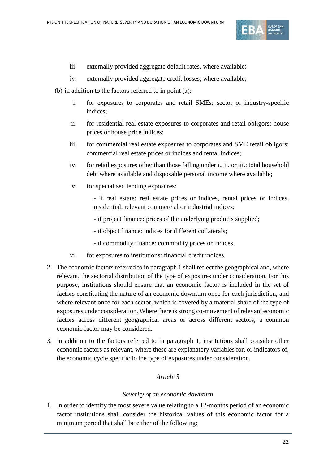

- iii. externally provided aggregate default rates, where available;
- iv. externally provided aggregate credit losses, where available;
- (b) in addition to the factors referred to in point (a):
	- i. for exposures to corporates and retail SMEs: sector or industry-specific indices;
	- ii. for residential real estate exposures to corporates and retail obligors: house prices or house price indices;
	- iii. for commercial real estate exposures to corporates and SME retail obligors: commercial real estate prices or indices and rental indices;
	- iv. for retail exposures other than those falling under i., ii. or iii.: total household debt where available and disposable personal income where available;
	- v. for specialised lending exposures:
		- if real estate: real estate prices or indices, rental prices or indices, residential, relevant commercial or industrial indices;
		- if project finance: prices of the underlying products supplied;
		- if object finance: indices for different collaterals;
		- if commodity finance: commodity prices or indices.
	- vi. for exposures to institutions: financial credit indices.
- 2. The economic factors referred to in paragraph 1 shall reflect the geographical and, where relevant, the sectorial distribution of the type of exposures under consideration. For this purpose, institutions should ensure that an economic factor is included in the set of factors constituting the nature of an economic downturn once for each jurisdiction, and where relevant once for each sector, which is covered by a material share of the type of exposures under consideration. Where there is strong co-movement of relevant economic factors across different geographical areas or across different sectors, a common economic factor may be considered.
- 3. In addition to the factors referred to in paragraph 1, institutions shall consider other economic factors as relevant, where these are explanatory variables for, or indicators of, the economic cycle specific to the type of exposures under consideration.

## *Severity of an economic downturn*

1. In order to identify the most severe value relating to a 12-months period of an economic factor institutions shall consider the historical values of this economic factor for a minimum period that shall be either of the following: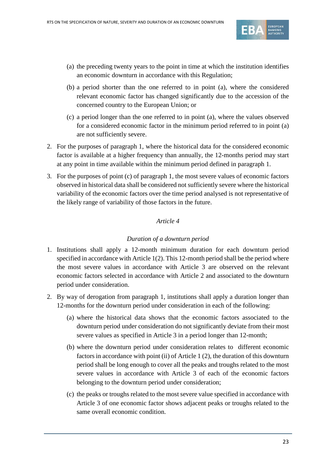

- (a) the preceding twenty years to the point in time at which the institution identifies an economic downturn in accordance with this Regulation;
- (b) a period shorter than the one referred to in point (a), where the considered relevant economic factor has changed significantly due to the accession of the concerned country to the European Union; or
- (c) a period longer than the one referred to in point (a), where the values observed for a considered economic factor in the minimum period referred to in point (a) are not sufficiently severe.
- 2. For the purposes of paragraph 1, where the historical data for the considered economic factor is available at a higher frequency than annually, the 12-months period may start at any point in time available within the minimum period defined in paragraph 1.
- 3. For the purposes of point (c) of paragraph 1, the most severe values of economic factors observed in historical data shall be considered not sufficiently severe where the historical variability of the economic factors over the time period analysed is not representative of the likely range of variability of those factors in the future.

## *Duration of a downturn period*

- 1. Institutions shall apply a 12-month minimum duration for each downturn period specified in accordance with Article 1(2). This 12-month period shall be the period where the most severe values in accordance with Article 3 are observed on the relevant economic factors selected in accordance with Article 2 and associated to the downturn period under consideration.
- 2. By way of derogation from paragraph 1, institutions shall apply a duration longer than 12-months for the downturn period under consideration in each of the following:
	- (a) where the historical data shows that the economic factors associated to the downturn period under consideration do not significantly deviate from their most severe values as specified in Article 3 in a period longer than 12-month;
	- (b) where the downturn period under consideration relates to different economic factors in accordance with point (ii) of Article 1 (2), the duration of this downturn period shall be long enough to cover all the peaks and troughs related to the most severe values in accordance with Article 3 of each of the economic factors belonging to the downturn period under consideration;
	- (c) the peaks or troughs related to the most severe value specified in accordance with Article 3 of one economic factor shows adjacent peaks or troughs related to the same overall economic condition.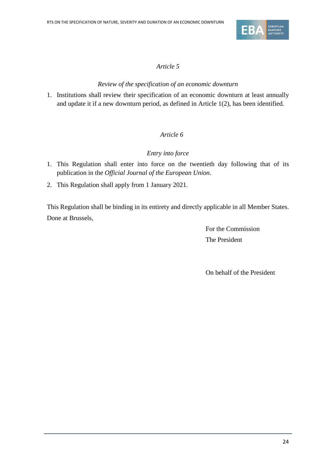

## *Review of the specification of an economic downturn*

1. Institutions shall review their specification of an economic downturn at least annually and update it if a new downturn period, as defined in Article 1(2), has been identified.

## *Article 6*

## *Entry into force*

- 1. This Regulation shall enter into force on the twentieth day following that of its publication in the *Official Journal of the European Union*.
- 2. This Regulation shall apply from 1 January 2021.

This Regulation shall be binding in its entirety and directly applicable in all Member States. Done at Brussels,

> For the Commission The President

On behalf of the President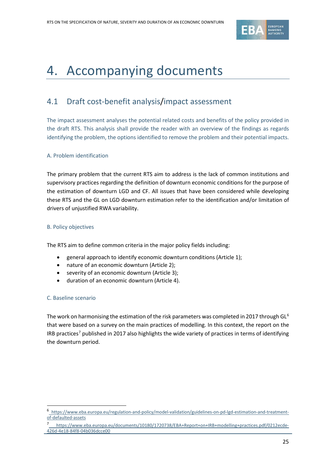

## <span id="page-24-0"></span>4. Accompanying documents

## <span id="page-24-1"></span>4.1 Draft cost-benefit analysis/impact assessment

The impact assessment analyses the potential related costs and benefits of the policy provided in the draft RTS. This analysis shall provide the reader with an overview of the findings as regards identifying the problem, the options identified to remove the problem and their potential impacts.

## A. Problem identification

The primary problem that the current RTS aim to address is the lack of common institutions and supervisory practices regarding the definition of downturn economic conditions for the purpose of the estimation of downturn LGD and CF. All issues that have been considered while developing these RTS and the GL on LGD downturn estimation refer to the identification and/or limitation of drivers of unjustified RWA variability.

#### B. Policy objectives

The RTS aim to define common criteria in the major policy fields including:

- general approach to identify economic downturn conditions (Article 1);
- nature of an economic downturn (Article 2);
- severity of an economic downturn (Article 3);
- duration of an economic downturn (Article 4).

#### C. Baseline scenario

 $\overline{a}$ 

The work on harmonising the estimation of the risk parameters was completed in 2017 through GL<sup>[6](#page-24-2)</sup> that were based on a survey on the main practices of modelling. In this context, the report on the IRB practices<sup>[7](#page-24-3)</sup> published in 2017 also highlights the wide variety of practices in terms of identifying the downturn period.

<span id="page-24-2"></span><sup>6</sup> [https://www.eba.europa.eu/regulation-and-policy/model-validation/guidelines-on-pd-lgd-estimation-and-treatment](https://www.eba.europa.eu/regulation-and-policy/model-validation/guidelines-on-pd-lgd-estimation-and-treatment-of-defaulted-assets)[of-defaulted-assets](https://www.eba.europa.eu/regulation-and-policy/model-validation/guidelines-on-pd-lgd-estimation-and-treatment-of-defaulted-assets)

<span id="page-24-3"></span>[https://www.eba.europa.eu/documents/10180/1720738/EBA+Report+on+IRB+modelling+practices.pdf/0212ecde-](https://www.eba.europa.eu/documents/10180/1720738/EBA+Report+on+IRB+modelling+practices.pdf/0212ecde-426d-4e18-84f8-04b036dcce00)[426d-4e18-84f8-04b036dcce00](https://www.eba.europa.eu/documents/10180/1720738/EBA+Report+on+IRB+modelling+practices.pdf/0212ecde-426d-4e18-84f8-04b036dcce00)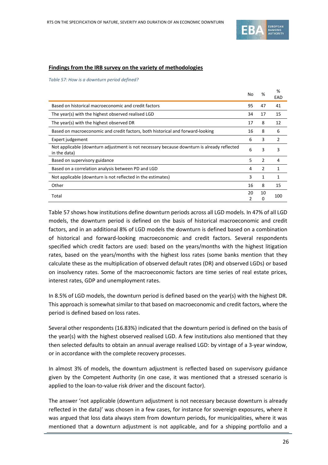

#### **Findings from the IRB survey on the variety of methodologies**

*Table 57: How is a downturn period defined?*

|                                                                                                            | No | ℅             | %<br>EAD      |
|------------------------------------------------------------------------------------------------------------|----|---------------|---------------|
| Based on historical macroeconomic and credit factors                                                       | 95 | 47            | 41            |
| The year(s) with the highest observed realised LGD                                                         | 34 | 17            | 15            |
| The year(s) with the highest observed DR                                                                   | 17 | 8             | 12            |
| Based on macroeconomic and credit factors, both historical and forward-looking                             | 16 | 8             | 6             |
| Expert judgement                                                                                           | 6  | 3             | $\mathcal{P}$ |
| Not applicable (downturn adjustment is not necessary because downturn is already reflected<br>in the data) | 6  | 3             | 3             |
| Based on supervisory guidance                                                                              | 5  | $\mathcal{P}$ | 4             |
| Based on a correlation analysis between PD and LGD                                                         | 4  | 2             | 1             |
| Not applicable (downturn is not reflected in the estimates)                                                | 3  | 1             |               |
| Other                                                                                                      | 16 | 8             | 15            |
| Total                                                                                                      | 20 | 10<br>0       | 100           |

Table 57 shows how institutions define downturn periods across all LGD models. In 47% of all LGD models, the downturn period is defined on the basis of historical macroeconomic and credit factors, and in an additional 8% of LGD models the downturn is defined based on a combination of historical and forward-looking macroeconomic and credit factors. Several respondents specified which credit factors are used: based on the years/months with the highest litigation rates, based on the years/months with the highest loss rates (some banks mention that they calculate these as the multiplication of observed default rates (DR) and observed LGDs) or based on insolvency rates. Some of the macroeconomic factors are time series of real estate prices, interest rates, GDP and unemployment rates.

In 8.5% of LGD models, the downturn period is defined based on the year(s) with the highest DR. This approach is somewhat similar to that based on macroeconomic and credit factors, where the period is defined based on loss rates.

Several other respondents (16.83%) indicated that the downturn period is defined on the basis of the year(s) with the highest observed realised LGD. A few institutions also mentioned that they then selected defaults to obtain an annual average realised LGD: by vintage of a 3-year window, or in accordance with the complete recovery processes.

In almost 3% of models, the downturn adjustment is reflected based on supervisory guidance given by the Competent Authority (in one case, it was mentioned that a stressed scenario is applied to the loan-to-value risk driver and the discount factor).

The answer 'not applicable (downturn adjustment is not necessary because downturn is already reflected in the data)' was chosen in a few cases, for instance for sovereign exposures, where it was argued that loss data always stem from downturn periods, for municipalities, where it was mentioned that a downturn adjustment is not applicable, and for a shipping portfolio and a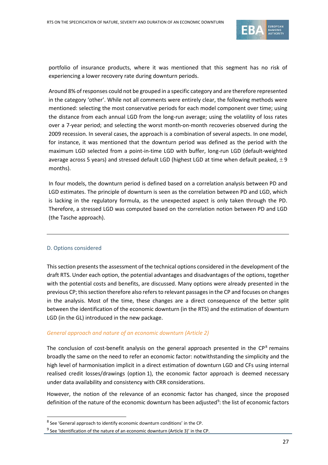

portfolio of insurance products, where it was mentioned that this segment has no risk of experiencing a lower recovery rate during downturn periods.

Around 8% of responses could not be grouped in a specific category and are therefore represented in the category 'other'. While not all comments were entirely clear, the following methods were mentioned: selecting the most conservative periods for each model component over time; using the distance from each annual LGD from the long-run average; using the volatility of loss rates over a 7-year period; and selecting the worst month-on-month recoveries observed during the 2009 recession. In several cases, the approach is a combination of several aspects. In one model, for instance, it was mentioned that the downturn period was defined as the period with the maximum LGD selected from a point-in-time LGD with buffer, long-run LGD (default-weighted average across 5 years) and stressed default LGD (highest LGD at time when default peaked,  $\pm 9$ months).

In four models, the downturn period is defined based on a correlation analysis between PD and LGD estimates. The principle of downturn is seen as the correlation between PD and LGD, which is lacking in the regulatory formula, as the unexpected aspect is only taken through the PD. Therefore, a stressed LGD was computed based on the correlation notion between PD and LGD (the Tasche approach).

#### D. Options considered

j

This section presents the assessment of the technical options considered in the development of the draft RTS. Under each option, the potential advantages and disadvantages of the options, together with the potential costs and benefits, are discussed. Many options were already presented in the previous CP; this section therefore also refers to relevant passages in the CP and focuses on changes in the analysis. Most of the time, these changes are a direct consequence of the better split between the identification of the economic downturn (in the RTS) and the estimation of downturn LGD (in the GL) introduced in the new package.

#### *General approach and nature of an economic downturn (Article 2)*

The conclusion of cost-benefit analysis on the general approach presented in the  $\mathsf{CP}^8$  $\mathsf{CP}^8$  remains broadly the same on the need to refer an economic factor: notwithstanding the simplicity and the high level of harmonisation implicit in a direct estimation of downturn LGD and CFs using internal realised credit losses/drawings (option 1), the economic factor approach is deemed necessary under data availability and consistency with CRR considerations.

However, the notion of the relevance of an economic factor has changed, since the proposed definition of the nature of the economic downturn has been adjusted<sup>9</sup>: the list of economic factors

<sup>8</sup> See 'General approach to identify economic downturn conditions' in the CP.

<span id="page-26-1"></span><span id="page-26-0"></span> $9$  See 'Identification of the nature of an economic downturn (Article 3)' in the CP.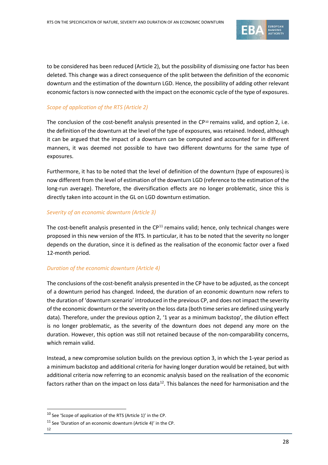

to be considered has been reduced (Article 2), but the possibility of dismissing one factor has been deleted. This change was a direct consequence of the split between the definition of the economic downturn and the estimation of the downturn LGD. Hence, the possibility of adding other relevant economic factors is now connected with the impact on the economic cycle of the type of exposures.

### *Scope of application of the RTS (Article 2)*

The conclusion of the cost-benefit analysis presented in the CP<sup>[10](#page-27-0)</sup> remains valid, and option 2, i.e. the definition of the downturn at the level of the type of exposures, was retained. Indeed, although it can be argued that the impact of a downturn can be computed and accounted for in different manners, it was deemed not possible to have two different downturns for the same type of exposures.

Furthermore, it has to be noted that the level of definition of the downturn (type of exposures) is now different from the level of estimation of the downturn LGD (reference to the estimation of the long-run average). Therefore, the diversification effects are no longer problematic, since this is directly taken into account in the GL on LGD downturn estimation.

#### *Severity of an economic downturn (Article 3)*

The cost-benefit analysis presented in the  $CP<sup>11</sup>$  $CP<sup>11</sup>$  $CP<sup>11</sup>$  remains valid; hence, only technical changes were proposed in this new version of the RTS. In particular, it has to be noted that the severity no longer depends on the duration, since it is defined as the realisation of the economic factor over a fixed 12-month period.

#### *Duration of the economic downturn (Article 4)*

The conclusions of the cost-benefit analysis presented in the CP have to be adjusted, asthe concept of a downturn period has changed. Indeed, the duration of an economic downturn now refers to the duration of 'downturn scenario' introduced in the previous CP, and does not impact the severity of the economic downturn or the severity on the loss data (both time series are defined using yearly data). Therefore, under the previous option 2, '1 year as a minimum backstop', the dilution effect is no longer problematic, as the severity of the downturn does not depend any more on the duration. However, this option was still not retained because of the non-comparability concerns, which remain valid.

Instead, a new compromise solution builds on the previous option 3, in which the 1-year period as a minimum backstop and additional criteria for having longer duration would be retained, but with additional criteria now referring to an economic analysis based on the realisation of the economic factors rather than on the impact on loss data<sup>[12](#page-27-2)</sup>. This balances the need for harmonisation and the

<span id="page-27-2"></span><span id="page-27-1"></span>12

 $\overline{a}$ 

<span id="page-27-0"></span><sup>10</sup> See 'Scope of application of the RTS (Article 1)' in the CP.

<sup>11</sup> See 'Duration of an economic downturn (Article 4)' in the CP.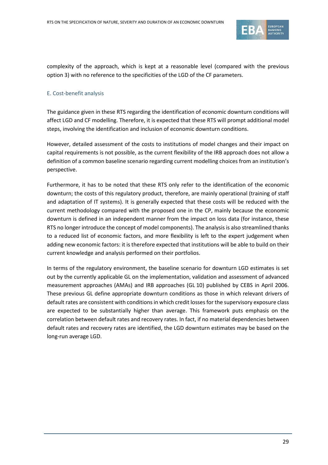

complexity of the approach, which is kept at a reasonable level (compared with the previous option 3) with no reference to the specificities of the LGD of the CF parameters.

### E. Cost-benefit analysis

The guidance given in these RTS regarding the identification of economic downturn conditions will affect LGD and CF modelling. Therefore, it is expected that these RTS will prompt additional model steps, involving the identification and inclusion of economic downturn conditions.

However, detailed assessment of the costs to institutions of model changes and their impact on capital requirements is not possible, as the current flexibility of the IRB approach does not allow a definition of a common baseline scenario regarding current modelling choices from an institution's perspective.

Furthermore, it has to be noted that these RTS only refer to the identification of the economic downturn; the costs of this regulatory product, therefore, are mainly operational (training of staff and adaptation of IT systems). It is generally expected that these costs will be reduced with the current methodology compared with the proposed one in the CP, mainly because the economic downturn is defined in an independent manner from the impact on loss data (for instance, these RTS no longer introduce the concept of model components). The analysis is also streamlined thanks to a reduced list of economic factors, and more flexibility is left to the expert judgement when adding new economic factors: it is therefore expected that institutions will be able to build on their current knowledge and analysis performed on their portfolios.

In terms of the regulatory environment, the baseline scenario for downturn LGD estimates is set out by the currently applicable GL on the implementation, validation and assessment of advanced measurement approaches (AMAs) and IRB approaches (GL 10) published by CEBS in April 2006. These previous GL define appropriate downturn conditions as those in which relevant drivers of default rates are consistent with conditions in which credit losses for the supervisory exposure class are expected to be substantially higher than average. This framework puts emphasis on the correlation between default rates and recovery rates. In fact, if no material dependencies between default rates and recovery rates are identified, the LGD downturn estimates may be based on the long-run average LGD.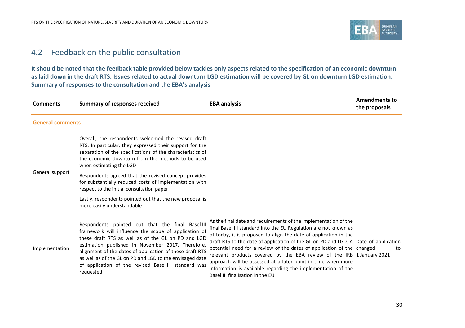

## 4.2 Feedback on the public consultation

**It should be noted that the feedback table provided below tackles only aspects related to the specification of an economic downturn as laid down in the draft RTS. Issues related to actual downturn LGD estimation will be covered by GL on downturn LGD estimation. Summary of responses to the consultation and the EBA's analysis** 

<span id="page-29-0"></span>

| <b>Comments</b>         | <b>Summary of responses received</b>                                                                                                                                                                                                                                                                                                                                                                             | <b>EBA analysis</b>                                                                                                                                                                                                                                                                                                                                                                                                                                                                                                                                                                                                   | <b>Amendments to</b><br>the proposals |
|-------------------------|------------------------------------------------------------------------------------------------------------------------------------------------------------------------------------------------------------------------------------------------------------------------------------------------------------------------------------------------------------------------------------------------------------------|-----------------------------------------------------------------------------------------------------------------------------------------------------------------------------------------------------------------------------------------------------------------------------------------------------------------------------------------------------------------------------------------------------------------------------------------------------------------------------------------------------------------------------------------------------------------------------------------------------------------------|---------------------------------------|
| <b>General comments</b> |                                                                                                                                                                                                                                                                                                                                                                                                                  |                                                                                                                                                                                                                                                                                                                                                                                                                                                                                                                                                                                                                       |                                       |
|                         | Overall, the respondents welcomed the revised draft<br>RTS. In particular, they expressed their support for the<br>separation of the specifications of the characteristics of<br>the economic downturn from the methods to be used<br>when estimating the LGD                                                                                                                                                    |                                                                                                                                                                                                                                                                                                                                                                                                                                                                                                                                                                                                                       |                                       |
| General support         | Respondents agreed that the revised concept provides<br>for substantially reduced costs of implementation with<br>respect to the initial consultation paper                                                                                                                                                                                                                                                      |                                                                                                                                                                                                                                                                                                                                                                                                                                                                                                                                                                                                                       |                                       |
|                         | Lastly, respondents pointed out that the new proposal is<br>more easily understandable.                                                                                                                                                                                                                                                                                                                          |                                                                                                                                                                                                                                                                                                                                                                                                                                                                                                                                                                                                                       |                                       |
| Implementation          | Respondents pointed out that the final Basel III<br>framework will influence the scope of application of<br>these draft RTS as well as of the GL on PD and LGD<br>estimation published in November 2017. Therefore,<br>alignment of the dates of application of these draft RTS<br>as well as of the GL on PD and LGD to the envisaged date<br>of application of the revised Basel III standard was<br>requested | As the final date and requirements of the implementation of the<br>final Basel III standard into the EU Regulation are not known as<br>of today, it is proposed to align the date of application in the<br>draft RTS to the date of application of the GL on PD and LGD. A Date of application<br>potential need for a review of the dates of application of the changed<br>relevant products covered by the EBA review of the IRB 1 January 2021<br>approach will be assessed at a later point in time when more<br>information is available regarding the implementation of the<br>Basel III finalisation in the EU | to                                    |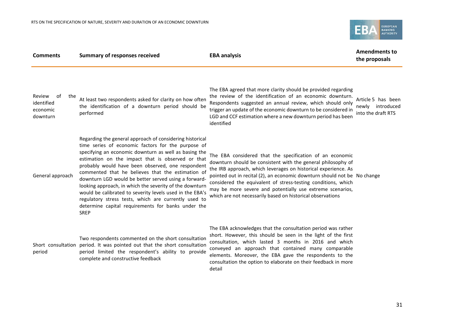

| <b>Comments</b>                                           | <b>Summary of responses received</b>                                                                                                                                                                                                                                                                                                                                                                                                                                                                                                                                                                                                               | <b>EBA analysis</b>                                                                                                                                                                                                                                                                                                                                                                                                                                                | <b>Amendments to</b><br>the proposals                        |
|-----------------------------------------------------------|----------------------------------------------------------------------------------------------------------------------------------------------------------------------------------------------------------------------------------------------------------------------------------------------------------------------------------------------------------------------------------------------------------------------------------------------------------------------------------------------------------------------------------------------------------------------------------------------------------------------------------------------------|--------------------------------------------------------------------------------------------------------------------------------------------------------------------------------------------------------------------------------------------------------------------------------------------------------------------------------------------------------------------------------------------------------------------------------------------------------------------|--------------------------------------------------------------|
| Review<br>of<br>the<br>identified<br>economic<br>downturn | At least two respondents asked for clarity on how often<br>the identification of a downturn period should be<br>performed                                                                                                                                                                                                                                                                                                                                                                                                                                                                                                                          | The EBA agreed that more clarity should be provided regarding<br>the review of the identification of an economic downturn.<br>Respondents suggested an annual review, which should only<br>trigger an update of the economic downturn to be considered in<br>LGD and CCF estimation where a new downturn period has been<br>identified                                                                                                                             | Article 5 has been<br>newly introduced<br>into the draft RTS |
| General approach                                          | Regarding the general approach of considering historical<br>time series of economic factors for the purpose of<br>specifying an economic downturn as well as basing the<br>estimation on the impact that is observed or that<br>probably would have been observed, one respondent<br>commented that he believes that the estimation of<br>downturn LGD would be better served using a forward-<br>looking approach, in which the severity of the downturn<br>would be calibrated to severity levels used in the EBA's<br>regulatory stress tests, which are currently used to<br>determine capital requirements for banks under the<br><b>SREP</b> | The EBA considered that the specification of an economic<br>downturn should be consistent with the general philosophy of<br>the IRB approach, which leverages on historical experience. As<br>pointed out in recital (2), an economic downturn should not be No change<br>considered the equivalent of stress-testing conditions, which<br>may be more severe and potentially use extreme scenarios,<br>which are not necessarily based on historical observations |                                                              |
| period                                                    | Two respondents commented on the short consultation<br>Short consultation period. It was pointed out that the short consultation<br>period limited the respondent's ability to provide<br>complete and constructive feedback                                                                                                                                                                                                                                                                                                                                                                                                                       | The EBA acknowledges that the consultation period was rather<br>short. However, this should be seen in the light of the first<br>consultation, which lasted 3 months in 2016 and which<br>conveyed an approach that contained many comparable<br>elements. Moreover, the EBA gave the respondents to the<br>consultation the option to elaborate on their feedback in more<br>detail                                                                               |                                                              |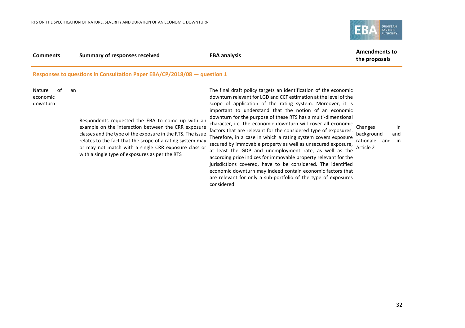

| <b>Comments</b>                                                            | Summary of responses received | <b>EBA analysis</b> | <b>Amendments to</b><br>the proposals |
|----------------------------------------------------------------------------|-------------------------------|---------------------|---------------------------------------|
| Responses to questions in Consultation Paper EBA/CP/2018/08 $-$ question 1 |                               |                     |                                       |

Nature of an economic downturn

> Respondents requested the EBA to come up with an example on the interaction between the CRR exposure classes and the type of the exposure in the RTS. The issue relates to the fact that the scope of a rating system may or may not match with a single CRR exposure class or with a single type of exposures as per the RTS

The final draft policy targets an identification of the economic downturn relevant for LGD and CCF estimation at the level of the scope of application of the rating system. Moreover, it is important to understand that the notion of an economic downturn for the purpose of these RTS has a multi-dimensional character, i.e. the economic downturn will cover all economic factors that are relevant for the considered type of exposures. Therefore, in a case in which a rating system covers exposure secured by immovable property as well as unsecured exposure, at least the GDP and unemployment rate, as well as the according price indices for immovable property relevant for the jurisdictions covered, have to be considered. The identified economic downturn may indeed contain economic factors that are relevant for only a sub-portfolio of the type of exposures considered

Changes in background and rationale and in Article 2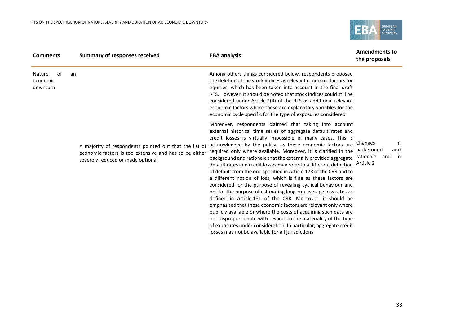

| <b>Comments</b>                      | <b>Summary of responses received</b>                                                                                                                  | <b>EBA analysis</b>                                                                                                                                                                                                                                                                                                                                                                                                                                                                                                                                                                                                                                                                                                                                                                                                                                                                                                                                                                                                                                                                                                                               | <b>Amendments to</b><br>the proposals                                  |
|--------------------------------------|-------------------------------------------------------------------------------------------------------------------------------------------------------|---------------------------------------------------------------------------------------------------------------------------------------------------------------------------------------------------------------------------------------------------------------------------------------------------------------------------------------------------------------------------------------------------------------------------------------------------------------------------------------------------------------------------------------------------------------------------------------------------------------------------------------------------------------------------------------------------------------------------------------------------------------------------------------------------------------------------------------------------------------------------------------------------------------------------------------------------------------------------------------------------------------------------------------------------------------------------------------------------------------------------------------------------|------------------------------------------------------------------------|
| 0f<br>Nature<br>economic<br>downturn | an                                                                                                                                                    | Among others things considered below, respondents proposed<br>the deletion of the stock indices as relevant economic factors for<br>equities, which has been taken into account in the final draft<br>RTS. However, it should be noted that stock indices could still be<br>considered under Article 2(4) of the RTS as additional relevant<br>economic factors where these are explanatory variables for the<br>economic cycle specific for the type of exposures considered                                                                                                                                                                                                                                                                                                                                                                                                                                                                                                                                                                                                                                                                     |                                                                        |
|                                      | A majority of respondents pointed out that the list of<br>economic factors is too extensive and has to be either<br>severely reduced or made optional | Moreover, respondents claimed that taking into account<br>external historical time series of aggregate default rates and<br>credit losses is virtually impossible in many cases. This is<br>acknowledged by the policy, as these economic factors are<br>required only where available. Moreover, it is clarified in the<br>background and rationale that the externally provided aggregate<br>default rates and credit losses may refer to a different definition<br>of default from the one specified in Article 178 of the CRR and to<br>a different notion of loss, which is fine as these factors are<br>considered for the purpose of revealing cyclical behaviour and<br>not for the purpose of estimating long-run average loss rates as<br>defined in Article 181 of the CRR. Moreover, it should be<br>emphasised that these economic factors are relevant only where<br>publicly available or where the costs of acquiring such data are<br>not disproportionate with respect to the materiality of the type<br>of exposures under consideration. In particular, aggregate credit<br>losses may not be available for all jurisdictions | in<br>Changes<br>background<br>and<br>rationale<br>and in<br>Article 2 |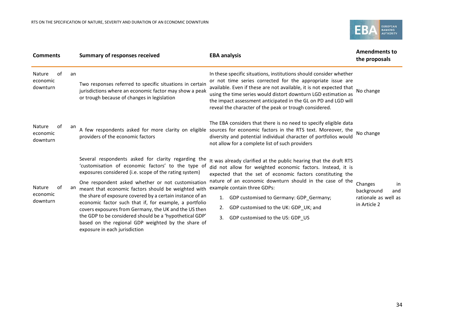

| <b>Comments</b>                      |    | <b>Summary of responses received</b>                                                                                                                                                                                                                                                                                                                                                                                                                                                                                                                                                                              | <b>EBA analysis</b>                                                                                                                                                                                                                                                                                                                                                                                                                 | <b>Amendments to</b><br>the proposals                                      |
|--------------------------------------|----|-------------------------------------------------------------------------------------------------------------------------------------------------------------------------------------------------------------------------------------------------------------------------------------------------------------------------------------------------------------------------------------------------------------------------------------------------------------------------------------------------------------------------------------------------------------------------------------------------------------------|-------------------------------------------------------------------------------------------------------------------------------------------------------------------------------------------------------------------------------------------------------------------------------------------------------------------------------------------------------------------------------------------------------------------------------------|----------------------------------------------------------------------------|
| of<br>Nature<br>economic<br>downturn | an | Two responses referred to specific situations in certain<br>jurisdictions where an economic factor may show a peak<br>or trough because of changes in legislation                                                                                                                                                                                                                                                                                                                                                                                                                                                 | In these specific situations, institutions should consider whether<br>or not time series corrected for the appropriate issue are<br>available. Even if these are not available, it is not expected that<br>using the time series would distort downturn LGD estimation as<br>the impact assessment anticipated in the GL on PD and LGD will<br>reveal the character of the peak or trough considered.                               | No change                                                                  |
| of<br>Nature<br>economic<br>downturn | an | A few respondents asked for more clarity on eligible<br>providers of the economic factors                                                                                                                                                                                                                                                                                                                                                                                                                                                                                                                         | The EBA considers that there is no need to specify eligible data<br>sources for economic factors in the RTS text. Moreover, the<br>diversity and potential individual character of portfolios would<br>not allow for a complete list of such providers                                                                                                                                                                              | No change                                                                  |
| of<br>Nature<br>economic<br>downturn | an | Several respondents asked for clarity regarding the<br>'customisation of economic factors' to the type of<br>exposures considered (i.e. scope of the rating system)<br>One respondent asked whether or not customisation<br>meant that economic factors should be weighted with<br>the share of exposure covered by a certain instance of an<br>economic factor such that if, for example, a portfolio<br>covers exposures from Germany, the UK and the US then<br>the GDP to be considered should be a 'hypothetical GDP'<br>based on the regional GDP weighted by the share of<br>exposure in each jurisdiction | It was already clarified at the public hearing that the draft RTS<br>did not allow for weighted economic factors. Instead, it is<br>expected that the set of economic factors constituting the<br>nature of an economic downturn should in the case of the<br>example contain three GDPs:<br>GDP customised to Germany: GDP_Germany;<br>1.<br>GDP customised to the UK: GDP_UK; and<br>2.<br>GDP customised to the US: GDP_US<br>3. | Changes<br>in<br>background<br>and<br>rationale as well as<br>in Article 2 |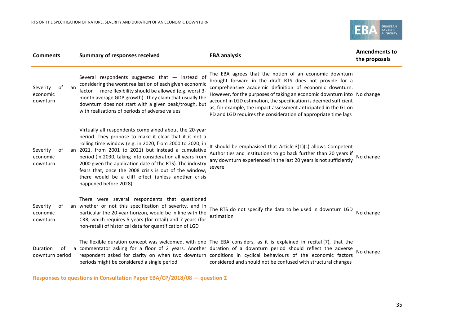

| <b>Comments</b>                              | <b>Summary of responses received</b>                                                                                                                                                                                                                                                                                                                                                                                                                                                                      | <b>EBA analysis</b>                                                                                                                                                                                                                                                                                                                                                                                                                                               | <b>Amendments to</b><br>the proposals |
|----------------------------------------------|-----------------------------------------------------------------------------------------------------------------------------------------------------------------------------------------------------------------------------------------------------------------------------------------------------------------------------------------------------------------------------------------------------------------------------------------------------------------------------------------------------------|-------------------------------------------------------------------------------------------------------------------------------------------------------------------------------------------------------------------------------------------------------------------------------------------------------------------------------------------------------------------------------------------------------------------------------------------------------------------|---------------------------------------|
| of<br>Severity<br>an<br>economic<br>downturn | Several respondents suggested that - instead of<br>considering the worst realisation of each given economic<br>factor - more flexibility should be allowed (e.g. worst 3-<br>month average GDP growth). They claim that usually the<br>downturn does not start with a given peak/trough, but<br>with realisations of periods of adverse values                                                                                                                                                            | The EBA agrees that the notion of an economic downturn<br>brought forward in the draft RTS does not provide for a<br>comprehensive academic definition of economic downturn.<br>However, for the purposes of taking an economic downturn into No change<br>account in LGD estimation, the specification is deemed sufficient<br>as, for example, the impact assessment anticipated in the GL on<br>PD and LGD requires the consideration of appropriate time lags |                                       |
| Severity<br>оf<br>economic<br>downturn       | Virtually all respondents complained about the 20-year<br>period. They propose to make it clear that it is not a<br>rolling time window (e.g. in 2020, from 2000 to 2020; in<br>an 2021, from 2001 to 2021) but instead a cumulative<br>period (in 2030, taking into consideration all years from<br>2000 given the application date of the RTS). The industry<br>fears that, once the 2008 crisis is out of the window,<br>there would be a cliff effect (unless another crisis<br>happened before 2028) | It should be emphasised that Article 3(1)(c) allows Competent<br>Authorities and institutions to go back further than 20 years if<br>any downturn experienced in the last 20 years is not sufficiently<br>severe                                                                                                                                                                                                                                                  | No change                             |
| Severity<br>оf<br>economic<br>downturn       | There were several respondents that questioned<br>an whether or not this specification of severity, and in<br>particular the 20-year horizon, would be in line with the<br>CRR, which requires 5 years (for retail) and 7 years (for<br>non-retail) of historical data for quantification of LGD                                                                                                                                                                                                          | The RTS do not specify the data to be used in downturn LGD<br>estimation                                                                                                                                                                                                                                                                                                                                                                                          | No change                             |
| Duration<br>of<br>downturn period            | periods might be considered a single period                                                                                                                                                                                                                                                                                                                                                                                                                                                               | The flexible duration concept was welcomed, with one The EBA considers, as it is explained in recital (7), that the<br>a commentator asking for a floor of 2 years. Another duration of a downturn period should reflect the adverse<br>respondent asked for clarity on when two downturn conditions in cyclical behaviours of the economic factors<br>considered and should not be confused with structural changes                                              | No change                             |

**Responses to questions in Consultation Paper EBA/CP/2018/08 — question 2**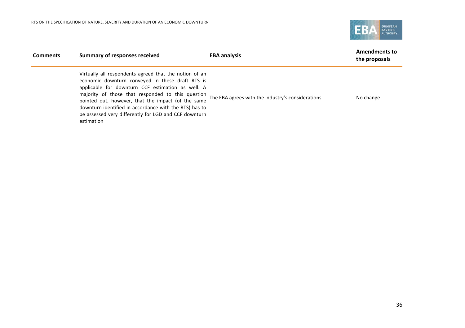

| <b>Comments</b> | <b>Summary of responses received</b>                                                                                                                                                                                                                                                                                                                                                                        | <b>EBA analysis</b>                               | <b>Amendments to</b><br>the proposals |
|-----------------|-------------------------------------------------------------------------------------------------------------------------------------------------------------------------------------------------------------------------------------------------------------------------------------------------------------------------------------------------------------------------------------------------------------|---------------------------------------------------|---------------------------------------|
|                 | Virtually all respondents agreed that the notion of an<br>economic downturn conveyed in these draft RTS is<br>applicable for downturn CCF estimation as well. A<br>majority of those that responded to this question<br>pointed out, however, that the impact (of the same<br>downturn identified in accordance with the RTS) has to<br>be assessed very differently for LGD and CCF downturn<br>estimation | The EBA agrees with the industry's considerations | No change                             |